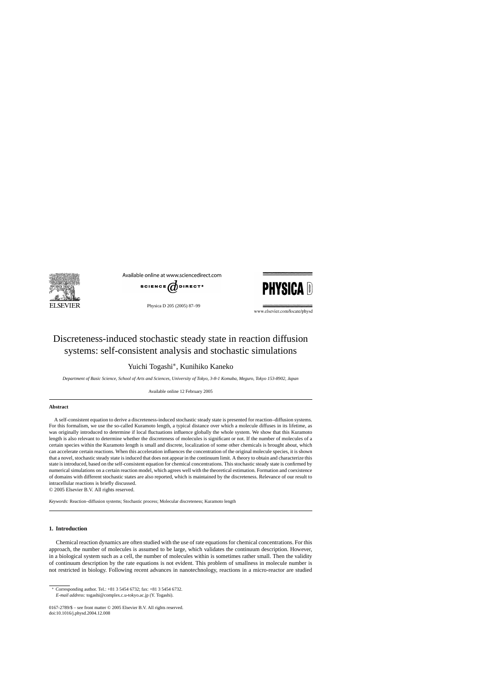<span id="page-0-0"></span>

Available online at www.sciencedirect.com



Physica D 205 (2005) 87–99



www.elsevier.com/locate/physd

# Discreteness-induced stochastic steady state in reaction diffusion systems: self-consistent analysis and stochastic simulations

Yuichi Togashi∗, Kunihiko Kaneko

*Department of Basic Science, School of Arts and Sciences, University of Tokyo, 3-8-1 Komaba, Meguro, Tokyo 153-8902, Japan*

Available online 12 February 2005

#### **Abstract**

A self-consistent equation to derive a discreteness-induced stochastic steady state is presented for reaction–diffusion systems. For this formalism, we use the so-called Kuramoto length, a typical distance over which a molecule diffuses in its lifetime, as was originally introduced to determine if local fluctuations influence globally the whole system. We show that this Kuramoto length is also relevant to determine whether the discreteness of molecules is significant or not. If the number of molecules of a certain species within the Kuramoto length is small and discrete, localization of some other chemicals is brought about, which can accelerate certain reactions. When this acceleration influences the concentration of the original molecule species, it is shown that a novel, stochastic steady state is induced that does not appear in the continuum limit. A theory to obtain and characterize this state is introduced, based on the self-consistent equation for chemical concentrations. This stochastic steady state is confirmed by numerical simulations on a certain reaction model, which agrees well with the theoretical estimation. Formation and coexistence of domains with different stochastic states are also reported, which is maintained by the discreteness. Relevance of our result to intracellular reactions is briefly discussed.

© 2005 Elsevier B.V. All rights reserved.

*Keywords:* Reaction–diffusion systems; Stochastic process; Molecular discreteness; Kuramoto length

# **1. Introduction**

Chemical reaction dynamics are often studied with the use of rate equations for chemical concentrations. For this approach, the number of molecules is assumed to be large, which validates the continuum description. However, in a biological system such as a cell, the number of molecules within is sometimes rather small. Then the validity of continuum description by the rate equations is not evident. This problem of smallness in molecule number is not restricted in biology. Following recent advances in nanotechnology, reactions in a micro-reactor are studied

<sup>∗</sup> Corresponding author. Tel.: +81 3 5454 6732; fax: +81 3 5454 6732. *E-mail address:* togashi@complex.c.u-tokyo.ac.jp (Y. Togashi).

<sup>0167-2789/\$ –</sup> see front matter © 2005 Elsevier B.V. All rights reserved. doi:10.1016/j.physd.2004.12.008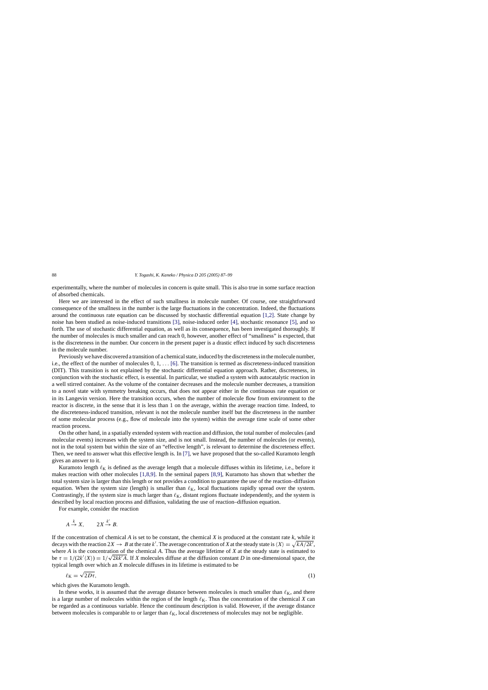experimentally, where the number of molecules in concern is quite small. This is also true in some surface reaction of absorbed chemicals.

Here we are interested in the effect of such smallness in molecule number. Of course, one straightforward consequence of the smallness in the number is the large fluctuations in the concentration. Indeed, the fluctuations around the continuous rate equation can be discussed by stochastic differential equation [\[1,2\].](#page-12-0) State change by noise has been studied as noise-induced transitions [\[3\],](#page-12-0) noise-induced order [\[4\],](#page-12-0) stochastic resonance [\[5\],](#page-12-0) and so forth. The use of stochastic differential equation, as well as its consequence, has been investigated thoroughly. If the number of molecules is much smaller and can reach 0, however, another effect of "smallness" is expected, that is the discreteness in the number. Our concern in the present paper is a drastic effect induced by such discreteness in the molecule number.

Previously we have discovered a transition of a chemical state, induced by the discreteness in the molecule number, i.e., the effect of the number of molecules 0, 1, ... [\[6\].](#page-12-0) The transition is termed as discreteness-induced transition (DIT). This transition is not explained by the stochastic differential equation approach. Rather, discreteness, in conjunction with the stochastic effect, is essential. In particular, we studied a system with autocatalytic reaction in a well stirred container. As the volume of the container decreases and the molecule number decreases, a transition to a novel state with symmetry breaking occurs, that does not appear either in the continuous rate equation or in its Langevin version. Here the transition occurs, when the number of molecule flow from environment to the reactor is discrete, in the sense that it is less than 1 on the average, within the average reaction time. Indeed, to the discreteness-induced transition, relevant is not the molecule number itself but the discreteness in the number of some molecular process (e.g., flow of molecule into the system) within the average time scale of some other reaction process.

On the other hand, in a spatially extended system with reaction and diffusion, the total number of molecules (and molecular events) increases with the system size, and is not small. Instead, the number of molecules (or events), not in the total system but within the size of an "effective length", is relevant to determine the discreteness effect. Then, we need to answer what this effective length is. In [\[7\],](#page-12-0) we have proposed that the so-called Kuramoto length gives an answer to it.

Kuramoto length  $\ell_K$  is defined as the average length that a molecule diffuses within its lifetime, i.e., before it makes reaction with other molecules [\[1,8,9\].](#page-12-0) In the seminal papers [\[8,9\],](#page-12-0) Kuramoto has shown that whether the total system size is larger than this length or not provides a condition to guarantee the use of the reaction–diffusion equation. When the system size (length) is smaller than  $\ell_K$ , local fluctuations rapidly spread over the system. Contrastingly, if the system size is much larger than  $\ell_K$ , distant regions fluctuate independently, and the system is described by local reaction process and diffusion, validating the use of reaction–diffusion equation.

For example, consider the reaction

$$
A \stackrel{k}{\to} X, \qquad 2X \stackrel{k'}{\to} B.
$$

If the concentration of chemical  $A$  is set to be constant, the chemical  $X$  is produced at the constant rate  $k$ , while it decays with the reaction  $2X \to B$  at the rate k'. The average concentration of X at the steady state is  $\langle X \rangle = \sqrt{kA/2k'}$ , where *A* is the concentration of the chemical *A*. Thus the average lifetime of *X* at the steady state is estimated to be  $\tau = 1/(2k'(X)) = 1/\sqrt{2kk'A}$ . If *X* molecules diffuse at the diffusion constant *D* in one-dimensional space, the typical length over which an *X* molecule diffuses in its lifetime is estimated to be

$$
\ell_{\rm K} = \sqrt{2D\tau},\tag{1}
$$

which gives the Kuramoto length.

In these works, it is assumed that the average distance between molecules is much smaller than  $\ell_K$ , and there is a large number of molecules within the region of the length  $\ell_K$ . Thus the concentration of the chemical *X* can be regarded as a continuous variable. Hence the continuum description is valid. However, if the average distance between molecules is comparable to or larger than  $\ell_K$ , local discreteness of molecules may not be negligible.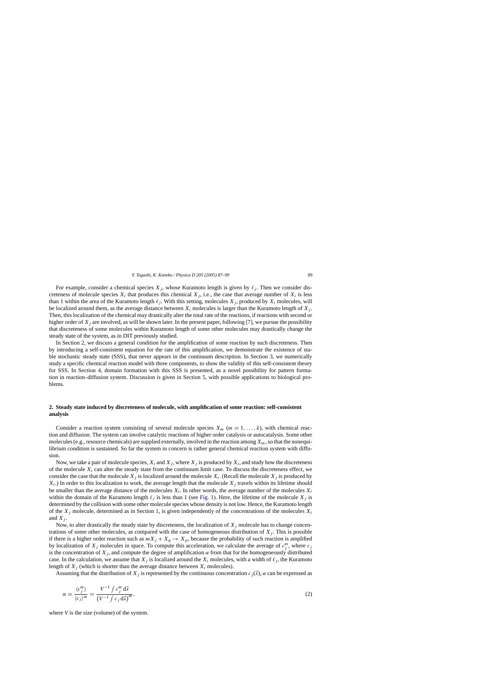<span id="page-2-0"></span>For example, consider a chemical species  $X_j$ , whose Kuramoto length is given by  $\ell_j$ . Then we consider discreteness of molecule species  $X_i$  that produces this chemical  $X_j$ , i.e., the case that average number of  $X_i$  is less than 1 within the area of the Kuramoto length  $\ell_j$ . With this setting, molecules  $X_j$ , produced by  $X_i$  molecules, will be localized around them, as the average distance between  $X_i$  molecules is larger than the Kuramoto length of  $X_i$ . Then, this localization of the chemical may drastically alter the total rate of the reactions, if reactions with second or higher order of  $X_i$  are involved, as will be shown later. In the present paper, following [\[7\], w](#page-12-0)e pursue the possibility that discreteness of some molecules within Kuramoto length of some other molecules may drastically change the steady state of the system, as in DIT previously studied.

In Section 2, we discuss a general condition for the amplification of some reaction by such discreteness. Then by introducing a self-consistent equation for the rate of this amplification, we demonstrate the existence of stable stochastic steady state (SSS), that never appears in the continuum description. In Section [3,](#page-4-0) we numerically study a specific chemical reaction model with three components, to show the validity of this self-consistent theory for SSS. In Section [4,](#page-7-0) domain formation with this SSS is presented, as a novel possibility for pattern formation in reaction–diffusion system. Discussion is given in Section [5,](#page-10-0) with possible applications to biological problems.

# **2. Steady state induced by discreteness of molecule, with amplification of some reaction: self-consistent analysis**

Consider a reaction system consisting of several molecule species  $X_m$  ( $m = 1, \ldots, k$ ), with chemical reaction and diffusion. The system can involve catalytic reactions of higher order catalysis or autocatalysis. Some other molecules (e.g., resource chemicals) are supplied externally, involved in the reaction among  $X_m$ , so that the nonequilibrium condition is sustained. So far the system in concern is rather general chemical reaction system with diffusion.

Now, we take a pair of molecule species,  $X_i$  and  $X_j$ , where  $X_j$  is produced by  $X_i$ , and study how the discreteness of the molecule  $X_i$  can alter the steady state from the continuum limit case. To discuss the discreteness effect, we consider the case that the molecule  $X_j$  is localized around the molecule  $X_i$ . (Recall the molecule  $X_j$  is produced by  $X_i$ .) In order to this localization to work, the average length that the molecule  $X_j$  travels within its lifetime should be smaller than the average distance of the molecules  $X_i$ . In other words, the average number of the molecules  $X_i$ within the domain of the Kuramoto length  $\ell_j$  is less than 1 (see [Fig. 1\).](#page-5-0) Here, the lifetime of the molecule  $X_j$  is determined by the collision with some other molecule species whose density is not low. Hence, the Kuramoto length of the  $X_j$  molecule, determined as in Section [1,](#page-0-0) is given independently of the concentrations of the molecules  $X_i$ and  $X_i$ .

Now, to alter drastically the steady state by discreteness, the localization of  $X_j$  molecule has to change concentrations of some other molecules, as compared with the case of homogeneous distribution of  $X_j$ . This is possible if there is a higher order reaction such as  $mX_j + X_q \to X_p$ , because the probability of such reaction is amplified by localization of  $X_j$  molecules in space. To compute this acceleration, we calculate the average of  $c_j^m$ , where  $c_j$ is the concentration of  $X_j$ , and compute the degree of amplification  $\alpha$  from that for the homogeneously distributed case. In the calculation, we assume that  $X_j$  is localized around the  $X_i$  molecules, with a width of  $\ell_j$ , the Kuramoto length of  $X_j$  (which is shorter than the average distance between  $X_i$  molecules).

Assuming that the distribution of  $X_j$  is represented by the continuous concentration  $c_j(\vec{x})$ ,  $\alpha$  can be expressed as

$$
\alpha = \frac{\langle c_j^m \rangle}{\langle c_j \rangle^m} = \frac{V^{-1} \int c_j^m \, d\vec{x}}{\left(V^{-1} \int c_j \, d\vec{x}\right)^m},\tag{2}
$$

where *V* is the size (volume) of the system.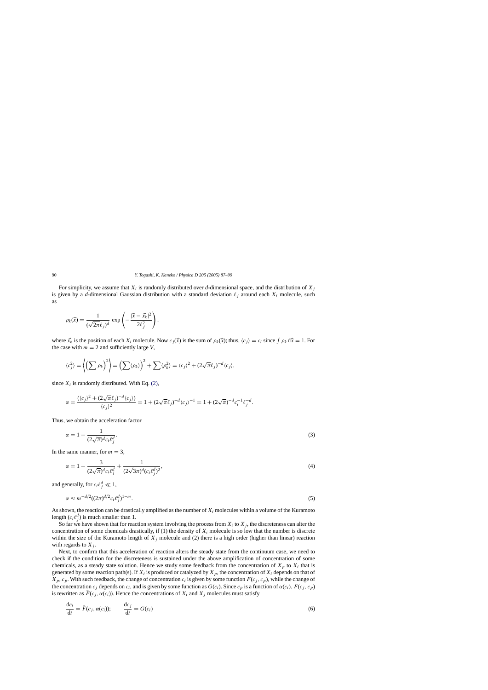<span id="page-3-0"></span>For simplicity, we assume that  $X_i$  is randomly distributed over *d*-dimensional space, and the distribution of  $X_i$ is given by a *d*-dimensional Gaussian distribution with a standard deviation  $\ell_j$  around each  $X_i$  molecule, such as

$$
\rho_k(\vec{x}) = \frac{1}{(\sqrt{2\pi}\ell_j)^d} \exp\left(-\frac{|\vec{x} - \vec{x_k}|^2}{2\ell_j^2}\right),
$$

where  $\vec{x_k}$  is the position of each  $X_i$  molecule. Now  $c_j(\vec{x})$  is the sum of  $\rho_k(\vec{x})$ ; thus,  $\langle c_j \rangle = c_i$  since  $\int \rho_k d\vec{x} = 1$ . For the case with  $m = 2$  and sufficiently large *V*,

$$
\langle c_j^2 \rangle = \left\langle \left(\sum \rho_k\right)^2 \right\rangle = \left(\sum \langle \rho_k \rangle\right)^2 + \sum \langle \rho_k^2 \rangle = \langle c_j \rangle^2 + (2\sqrt{\pi}\ell_j)^{-d} \langle c_j \rangle,
$$

since  $X_i$  is randomly distributed. With Eq. [\(2\),](#page-2-0)

$$
\alpha = \frac{(\langle c_j \rangle^2 + (2\sqrt{\pi}\ell_j)^{-d} \langle c_j \rangle)}{\langle c_j \rangle^2} = 1 + (2\sqrt{\pi}\ell_j)^{-d} \langle c_j \rangle^{-1} = 1 + (2\sqrt{\pi})^{-d} c_i^{-1} \ell_j^{-d}.
$$

Thus, we obtain the acceleration factor

$$
\alpha = 1 + \frac{1}{(2\sqrt{\pi})^d c_i \ell_j^d}.\tag{3}
$$

In the same manner, for  $m = 3$ ,

$$
\alpha = 1 + \frac{3}{(2\sqrt{\pi})^d c_i \ell_j^d} + \frac{1}{(2\sqrt{3}\pi)^d (c_i \ell_j^d)^2},\tag{4}
$$

and generally, for  $c_i \ell_j^d \ll 1$ ,

$$
\alpha \approx m^{-d/2} ((2\pi)^{d/2} c_i \ell_j^d)^{1-m}.
$$
\n(5)

As shown, the reaction can be drastically amplified as the number of  $X_i$  molecules within a volume of the Kuramoto length  $(c_i \ell_j^d)$  is much smaller than 1.

So far we have shown that for reaction system involving the process from  $X_i$  to  $X_j$ , the discreteness can alter the concentration of some chemicals drastically, if (1) the density of  $X_i$  molecule is so low that the number is discrete within the size of the Kuramoto length of  $X_j$  molecule and (2) there is a high order (higher than linear) reaction with regards to  $X_i$ .

Next, to confirm that this acceleration of reaction alters the steady state from the continuum case, we need to check if the condition for the discreteness is sustained under the above amplification of concentration of some chemicals, as a steady state solution. Hence we study some feedback from the concentration of  $X_p$  to  $X_i$  that is generated by some reaction path(s). If  $X_i$  is produced or catalyzed by  $X_p$ , the concentration of  $X_i$  depends on that of  $X_p$ ,  $c_p$ . With such feedback, the change of concentration  $c_i$  is given by some function  $F(c_j, c_p)$ , while the change of the concentration  $c_j$  depends on  $c_i$ , and is given by some function as  $G(c_i)$ . Since  $c_p$  is a function of  $\alpha(c_i)$ ,  $F(c_j, c_p)$ is rewritten as  $\hat{F}(c_j, \alpha(c_i))$ . Hence the concentrations of  $X_i$  and  $X_j$  molecules must satisfy

$$
\frac{dc_i}{dt} = \hat{F}(c_j, \alpha(c_i)); \qquad \frac{dc_j}{dt} = G(c_i)
$$
\n(6)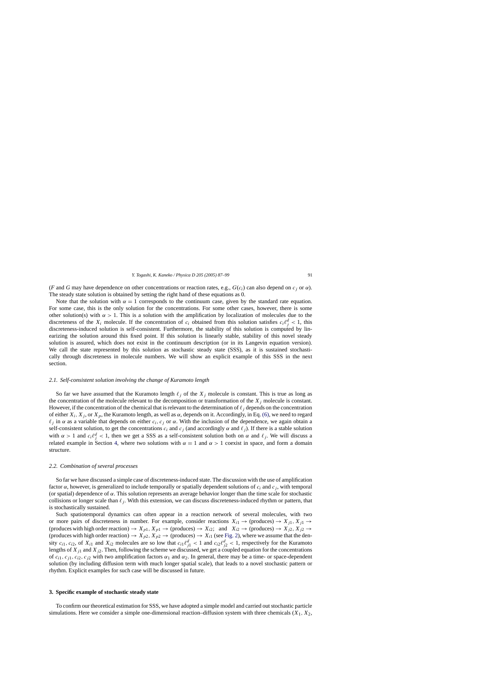<span id="page-4-0"></span>(*F* and *G* may have dependence on other concentrations or reaction rates, e.g.,  $G(c_i)$  can also depend on  $c_i$  or  $\alpha$ ). The steady state solution is obtained by setting the right hand of these equations as 0.

Note that the solution with  $\alpha = 1$  corresponds to the continuum case, given by the standard rate equation. For some case, this is the only solution for the concentrations. For some other cases, however, there is some other solution(s) with  $\alpha > 1$ . This is a solution with the amplification by localization of molecules due to the discreteness of the  $X_i$  molecule. If the concentration of  $c_i$  obtained from this solution satisfies  $c_i \ell_j^d < 1$ , this discreteness-induced solution is self-consistent. Furthermore, the stability of this solution is computed by linearizing the solution around this fixed point. If this solution is linearly stable, stability of this novel steady solution is assured, which does not exist in the continuum description (or in its Langevin equation version). We call the state represented by this solution as stochastic steady state (SSS), as it is sustained stochastically through discreteness in molecule numbers. We will show an explicit example of this SSS in the next section.

#### *2.1. Self-consistent solution involving the change of Kuramoto length*

So far we have assumed that the Kuramoto length  $\ell_j$  of the  $X_j$  molecule is constant. This is true as long as the concentration of the molecule relevant to the decomposition or transformation of the  $X_i$  molecule is constant. However, if the concentration of the chemical that is relevant to the determination of  $\ell_j$  depends on the concentration of either  $X_i$ ,  $X_j$ , or  $X_p$ , the Kuramoto length, as well as  $\alpha$ , depends on it. Accordingly, in Eq. [\(6\),](#page-3-0) we need to regard  $\ell_j$  in  $\alpha$  as a variable that depends on either  $c_i, c_j$  or  $\alpha$ . With the inclusion of the dependence, we again obtain a self-consistent solution, to get the concentrations  $c_i$  and  $c_j$  (and accordingly  $\alpha$  and  $\ell_j$ ). If there is a stable solution with  $\alpha > 1$  and  $c_i \ell_j^d < 1$ , then we get a SSS as a self-consistent solution both on  $\alpha$  and  $\ell_j$ . We will discuss a related example in Section [4,](#page-7-0) where two solutions with  $\alpha = 1$  and  $\alpha > 1$  coexist in space, and form a domain structure.

## *2.2. Combination of several processes*

So far we have discussed a simple case of discreteness-induced state. The discussion with the use of amplification factor  $\alpha$ , however, is generalized to include temporally or spatially dependent solutions of  $c_i$  and  $c_j$ , with temporal (or spatial) dependence of  $\alpha$ . This solution represents an average behavior longer than the time scale for stochastic collisions or longer scale than  $\ell_j$ . With this extension, we can discuss discreteness-induced rhythm or pattern, that is stochastically sustained.

Such spatiotemporal dynamics can often appear in a reaction network of several molecules, with two or more pairs of discreteness in number. For example, consider reactions  $X_{i1} \rightarrow (p \text{roduces}) \rightarrow X_{i1}, X_{i1} \rightarrow$ (produces with high order reaction)  $\rightarrow X_{p1}$ ,  $X_{p1} \rightarrow$  (produces)  $\rightarrow X_{i2}$ ; and  $X_{i2} \rightarrow$  (produces)  $\rightarrow X_{i2}$ ,  $X_{i2} \rightarrow$ (produces with high order reaction)  $\rightarrow X_{p2}, X_{p2} \rightarrow$  (produces)  $\rightarrow X_{i1}$  (see [Fig. 2\),](#page-5-0) where we assume that the density  $c_{i1}$ ,  $c_{i2}$ , of  $X_{i1}$  and  $X_{i2}$  molecules are so low that  $c_{i1}\ell_{j1}^d < 1$  and  $c_{i2}\ell_{j2}^d < 1$ , respectively for the Kuramoto lengths of  $X_{i1}$  and  $X_{i2}$ . Then, following the scheme we discussed, we get a coupled equation for the concentrations of  $c_{i1}$ ,  $c_{i2}$ ,  $c_{i2}$  with two amplification factors  $\alpha_1$  and  $\alpha_2$ . In general, there may be a time- or space-dependent solution (by including diffusion term with much longer spatial scale), that leads to a novel stochastic pattern or rhythm. Explicit examples for such case will be discussed in future.

#### **3. Specific example of stochastic steady state**

To confirm our theoretical estimation for SSS, we have adopted a simple model and carried out stochastic particle simulations. Here we consider a simple one-dimensional reaction–diffusion system with three chemicals  $(X_1, X_2)$ ,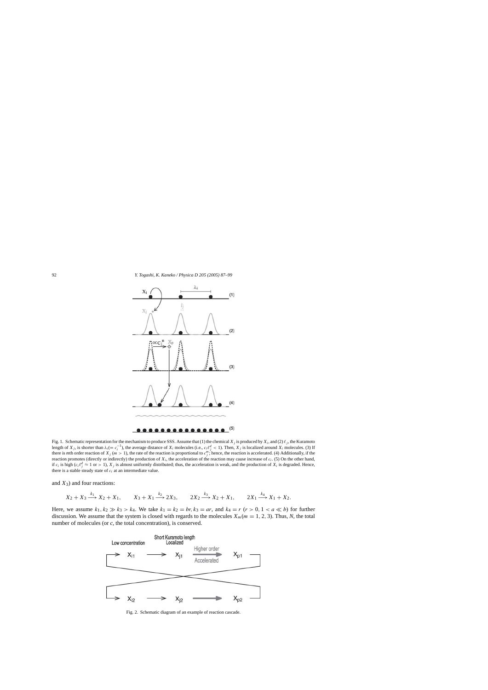<span id="page-5-0"></span>

Fig. 1. Schematic representation for the mechanism to produce SSS. Assume that (1) the chemical  $X_j$  is produced by  $X_i$ , and (2)  $\ell_j$ , the Kuramoto length of  $X_j$ , is shorter than  $\lambda_i (= c_i^{-1})$ , the average distance of  $X_i$  molecules (i.e.,  $c_i \ell_j^d < 1$ ). Then,  $X_j$  is localized around  $X_i$  molecules. (3) If there is *m*th order reaction of  $X_j$  ( $m > 1$ ), the rate of the reaction is proportional to  $c_j^m$ ; hence, the reaction is accelerated. (4) Additionally, if the reaction promotes (directly or indirectly) the production of  $X_i$ , the acceleration of the reaction may cause increase of  $c_i$ . (5) On the other hand, if  $c_i$  is high ( $c_i \ell_j^d \approx 1$  or  $> 1$ ),  $X_j$  is almost uniformly distributed; thus, the acceleration is weak, and the production of  $X_i$  is degraded. Hence, there is a stable steady state of  $c_i$  at an intermediate value.

and  $X_3$ ) and four reactions:

$$
X_2 + X_3 \xrightarrow{k_1} X_2 + X_1, \qquad X_3 + X_1 \xrightarrow{k_2} 2X_3, \qquad 2X_2 \xrightarrow{k_3} X_2 + X_1, \qquad 2X_1 \xrightarrow{k_4} X_1 + X_2.
$$

Here, we assume  $k_1, k_2 \gg k_3 > k_4$ . We take  $k_1 = k_2 = br$ ,  $k_3 = ar$ , and  $k_4 = r$  ( $r > 0$ ,  $1 < a \ll b$ ) for further discussion. We assume that the system is closed with regards to the molecules  $X_m(m = 1, 2, 3)$ . Thus, *N*, the total number of molecules (or *c*, the total concentration), is conserved.



Fig. 2. Schematic diagram of an example of reaction cascade.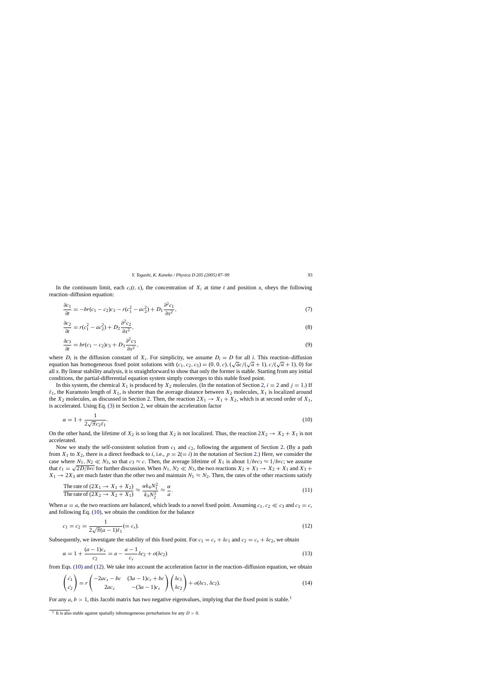<span id="page-6-0"></span>In the continuum limit, each  $c_i(t, x)$ , the concentration of  $X_i$  at time  $t$  and position  $x$ , obeys the following reaction–diffusion equation:

$$
\frac{\partial c_1}{\partial t} = -br(c_1 - c_2)c_3 - r(c_1^2 - ac_2^2) + D_1 \frac{\partial^2 c_1}{\partial x^2},\tag{7}
$$

$$
\frac{\partial c_2}{\partial t} = r(c_1^2 - ac_2^2) + D_2 \frac{\partial^2 c_2}{\partial x^2},\tag{8}
$$

$$
\frac{\partial c_3}{\partial t} = br(c_1 - c_2)c_3 + D_3 \frac{\partial^2 c_3}{\partial x^2},\tag{9}
$$

where  $D_i$  is the diffusion constant of  $X_i$ . For simplicity, we assume  $D_i = D$  for all *i*. This reaction–diffusion equation has homogeneous fixed point solutions with  $(c_1, c_2, c_3) = (0, 0, c), (\sqrt{a}c/(\sqrt{a} + 1), c/(\sqrt{a} + 1), 0)$  for all *x*. By linear stability analysis, it is straightforward to show that only the former is stable. Starting from any initial conditions, the partial-differential equation system simply converges to this stable fixed point.

In this system, the chemical  $X_1$  is produced by  $X_2$  molecules. (In the notation of Section [2,](#page-2-0)  $i = 2$  and  $j = 1$ .) If  $\ell_1$ , the Kuramoto length of  $X_1$ , is shorter than the average distance between  $X_2$  molecules,  $X_1$  is localized around the  $X_2$  molecules, as discussed in Section [2.](#page-2-0) Then, the reaction  $2X_1 \rightarrow X_1 + X_2$ , which is at second order of  $X_1$ , is accelerated. Using Eq. [\(3\)](#page-3-0) in Section [2, w](#page-2-0)e obtain the acceleration factor

$$
\alpha = 1 + \frac{1}{2\sqrt{\pi}c_2\ell_1}.\tag{10}
$$

On the other hand, the lifetime of  $X_2$  is so long that  $X_2$  is not localized. Thus, the reaction  $2X_2 \to X_2 + X_1$  is not accelerated.

Now we study the self-consistent solution from  $c_1$  and  $c_2$ , following the argument of Section [2.](#page-2-0) (By a path from  $X_1$  to  $X_2$ , there is a direct feedback to *i*, i.e.,  $p = 2(= i)$  in the notation of Section [2.\)](#page-2-0) Here, we consider the case where  $N_1, N_2 \ll N_3$ , so that  $c_3 \approx c$ . Then, the average lifetime of  $X_1$  is about  $1/brc_3 \approx 1/brc$ ; we assume that  $\ell_1 = \sqrt{2D/br}c$  for further discussion. When  $N_1, N_2 \ll N_3$ , the two reactions  $X_2 + X_3 \to X_2 + X_1$  and  $X_3 +$  $X_1 \to 2X_3$  are much faster than the other two and maintain  $N_1 \approx N_2$ . Then, the rates of the other reactions satisfy

The rate of 
$$
(2X_1 \rightarrow X_1 + X_2)
$$
  $\approx \frac{\alpha k_4 N_1^2}{k_3 N_2^2} \approx \frac{\alpha}{a}$ .  
The rate of  $(2X_2 \rightarrow X_2 + X_1)$   $\approx \frac{\alpha k_4 N_1^2}{k_3 N_2^2} \approx \frac{\alpha}{a}$ . (11)

When  $\alpha = a$ , the two reactions are balanced, which leads to a novel fixed point. Assuming  $c_1, c_2 \ll c_3$  and  $c_3 = c$ , and following Eq. (10), we obtain the condition for the balance

$$
c_1 = c_2 = \frac{1}{2\sqrt{\pi}(a-1)\ell_1} (= c_s). \tag{12}
$$

Subsequently, we investigate the stability of this fixed point. For  $c_1 = c_s + \delta c_1$  and  $c_2 = c_s + \delta c_2$ , we obtain

$$
\alpha = 1 + \frac{(a-1)c_s}{c_2} = a - \frac{a-1}{c_s} \delta c_2 + o(\delta c_2)
$$
\n(13)

from Eqs. (10) and (12). We take into account the acceleration factor in the reaction–diffusion equation, we obtain

$$
\begin{pmatrix}\n\dot{c}_1 \\
\dot{c}_2\n\end{pmatrix} = r \begin{pmatrix}\n-2ac_s - bc & (3a - 1)c_s + bc \\
2ac_s & -(3a - 1)c_s\n\end{pmatrix} \begin{pmatrix}\n\delta c_1 \\
\delta c_2\n\end{pmatrix} + o(\delta c_1, \delta c_2).
$$
\n(14)

For any  $a, b > 1$ , this Jacobi matrix has two negative eigenvalues, implying that the fixed point is stable.<sup>1</sup>

<sup>&</sup>lt;sup>1</sup> It is also stable against spatially inhomogeneous perturbations for any  $D > 0$ .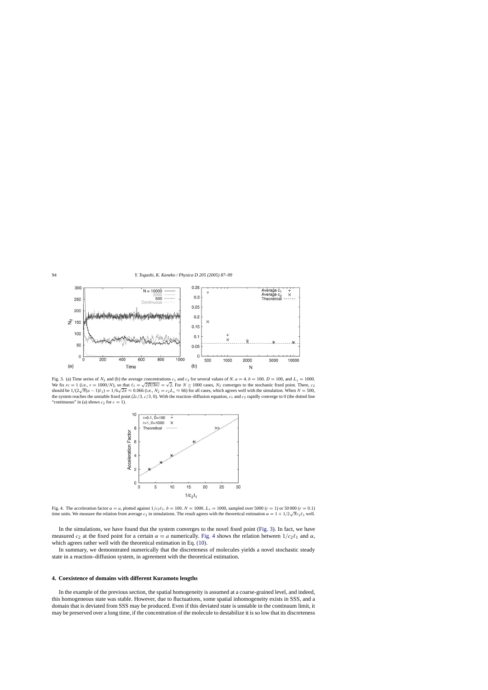<span id="page-7-0"></span>

Fig. 3. (a) Time series of  $N_2$  and (b) the average concentrations  $c_1$  and  $c_2$  for several values of *N*.  $a = 4$ ,  $b = 100$ ,  $D = 100$ , and  $L_x = 1000$ . We fix  $rc = 1$  (i.e.,  $r = 1000/N$ ), so that  $\ell_1 = \sqrt{2D/brc} = \sqrt{2}$ . For  $N \ge 1000$  cases,  $N_2$  converges to the stochastic fixed point. There,  $c_2$ should be  $1/(2\sqrt{\pi}(a-1)\ell_1) = 1/6\sqrt{2\pi} \approx 0.066$  (i.e.,  $N_2 = c_2 L_x \approx 66$ ) for all cases, which agrees well with the simulation. When  $N = 500$ , the system reaches the unstable fixed point  $(2c/3, c/3, 0)$ . With the reaction–diffusion equation,  $c_1$  and  $c_2$  rapidly converge to 0 (the dotted line "continuous" in (a) shows  $c_2$  for  $c = 1$ ).



Fig. 4. The acceleration factor  $\alpha = a$ , plotted against  $1/c_2 \ell_1$ .  $b = 100$ ,  $N = 1000$ ,  $L_x = 1000$ , sampled over 5000  $(r = 1)$  or 50 000  $(r = 0.1)$ time units. We measure the relation from average  $c_2$  in simulations. The result agrees with the theoretical estimation  $\alpha = 1 + 1/2\sqrt{\pi}c_2\ell_1$  well.

In the simulations, we have found that the system converges to the novel fixed point (Fig. 3). In fact, we have measured  $c_2$  at the fixed point for a certain  $\alpha = a$  numerically. Fig. 4 shows the relation between  $1/c_2\ell_1$  and  $\alpha$ , which agrees rather well with the theoretical estimation in Eq. [\(10\).](#page-6-0)

In summary, we demonstrated numerically that the discreteness of molecules yields a novel stochastic steady state in a reaction–diffusion system, in agreement with the theoretical estimation.

## **4. Coexistence of domains with different Kuramoto lengths**

In the example of the previous section, the spatial homogeneity is assumed at a coarse-grained level, and indeed, this homogeneous state was stable. However, due to fluctuations, some spatial inhomogeneity exists in SSS, and a domain that is deviated from SSS may be produced. Even if this deviated state is unstable in the continuum limit, it may be preserved over a long time, if the concentration of the molecule to destabilize it is so low that its discreteness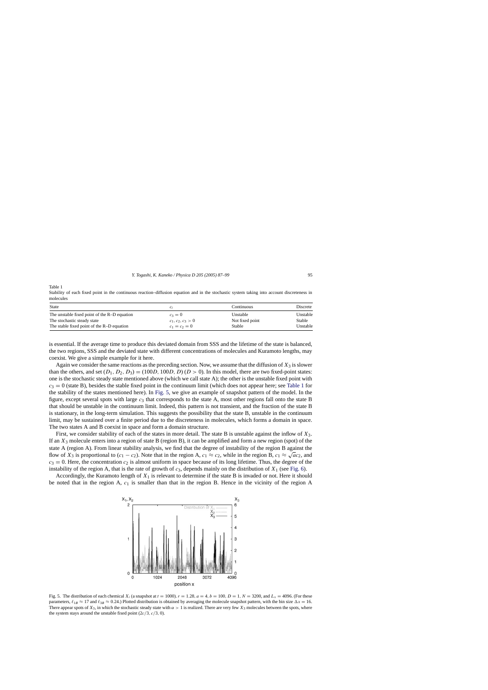<span id="page-8-0"></span>Table 1

Stability of each fixed point in the continuous reaction–diffusion equation and in the stochastic system taking into account discreteness in molecules

| <b>State</b>                                 | Сi                  | Continuous      | Discrete |
|----------------------------------------------|---------------------|-----------------|----------|
| The unstable fixed point of the R-D equation | $c_3 = 0$           | Unstable        | Unstable |
| The stochastic steady state                  | $c_1, c_2, c_3 > 0$ | Not fixed point | Stable   |
| The stable fixed point of the R-D equation   | $c_1 = c_2 = 0$     | Stable          | Unstable |

is essential. If the average time to produce this deviated domain from SSS and the lifetime of the state is balanced, the two regions, SSS and the deviated state with different concentrations of molecules and Kuramoto lengths, may coexist. We give a simple example for it here.

Again we consider the same reactions as the preceding section. Now, we assume that the diffusion of  $X_3$  is slower than the others, and set  $(D_1, D_2, D_3) = (100D, 100D, D)$   $(D > 0)$ . In this model, there are two fixed-point states: one is the stochastic steady state mentioned above (which we call state A); the other is the unstable fixed point with  $c_3 = 0$  (state B), besides the stable fixed point in the continuum limit (which does not appear here; see Table 1 for the stability of the states mentioned here). In Fig. 5, we give an example of snapshot pattern of the model. In the figure, except several spots with large  $c_3$  that corresponds to the state A, most other regions fall onto the state B that should be unstable in the continuum limit. Indeed, this pattern is not transient, and the fraction of the state B is stationary, in the long-term simulation. This suggests the possibility that the state B, unstable in the continuum limit, may be sustained over a finite period due to the discreteness in molecules, which forms a domain in space. The two states A and B coexist in space and form a domain structure.

First, we consider stability of each of the states in more detail. The state B is unstable against the inflow of  $X_3$ . If an  $X_3$  molecule enters into a region of state B (region B), it can be amplified and form a new region (spot) of the state A (region A). From linear stability analysis, we find that the degree of instability of the region B against the flow of  $X_3$  is proportional to  $(c_1 - c_2)$ . Note that in the region A,  $c_1 \approx c_2$ , while in the region B,  $c_1 \approx \sqrt{a}c_2$ , and  $c_3 = 0$ . Here, the concentration  $c_2$  is almost uniform in space because of its long lifetime. Thus, the degree of the instability of the region A, that is the rate of growth of  $c_3$ , depends mainly on the distribution of  $X_1$  (see [Fig. 6\).](#page-9-0)

Accordingly, the Kuramoto length of  $X_1$  is relevant to determine if the state B is invaded or not. Here it should be noted that in the region A,  $c_1$  is smaller than that in the region B. Hence in the vicinity of the region A



Fig. 5. The distribution of each chemical  $X_i$  (a snapshot at  $t = 1000$ ).  $r = 1.28$ ,  $a = 4$ ,  $b = 100$ ,  $D = 1$ ,  $N = 3200$ , and  $L_x = 4096$ . (For these parameters,  $\ell_{1B} \approx 17$  and  $\ell_{3B} \approx 0.24$ .) Plotted distribution is obtained by averaging the molecule snapshot pattern, with the bin size  $\Delta x = 16$ . There appear spots of  $X_3$ , in which the stochastic steady state with  $\alpha > 1$  is realized. There are very few  $X_3$  molecules between the spots, where the system stays around the unstable fixed point  $(2c/3, c/3, 0)$ .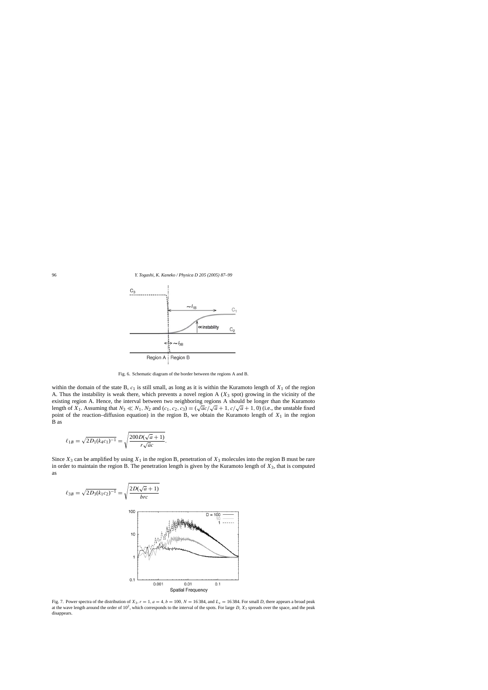<span id="page-9-0"></span>

Fig. 6. Schematic diagram of the border between the regions A and B.

within the domain of the state B,  $c_1$  is still small, as long as it is within the Kuramoto length of  $X_1$  of the region A. Thus the instability is weak there, which prevents a novel region A  $(X_3$  spot) growing in the vicinity of the existing region A. Hence, the interval between two neighboring regions A should be longer than the Kuramoto length of  $X_1$ . Assuming that  $N_3 \ll N_1$ ,  $N_2$  and  $(c_1, c_2, c_3) = (\sqrt{a}c/\sqrt{a} + 1, c/\sqrt{a} + 1, 0)$  (i.e., the unstable fixed point of the reaction–diffusion equation) in the region B, we obtain the Kuramoto length of  $X_1$  in the region B as

$$
\ell_{1B} = \sqrt{2D_1(k_4c_1)^{-1}} = \sqrt{\frac{200D(\sqrt{a}+1)}{r\sqrt{ac}}}.
$$

Since  $X_3$  can be amplified by using  $X_1$  in the region B, penetration of  $X_3$  molecules into the region B must be rare in order to maintain the region B. The penetration length is given by the Kuramoto length of  $X_3$ , that is computed as



Fig. 7. Power spectra of the distribution of  $X_3$ ,  $r = 1$ ,  $a = 4$ ,  $b = 100$ ,  $N = 16384$ , and  $L_x = 16384$ . For small *D*, there appears a broad peak at the wave length around the order of  $10^2$ , which corresponds to the interval of the spots. For large D,  $X_3$  spreads over the space, and the peak disappears.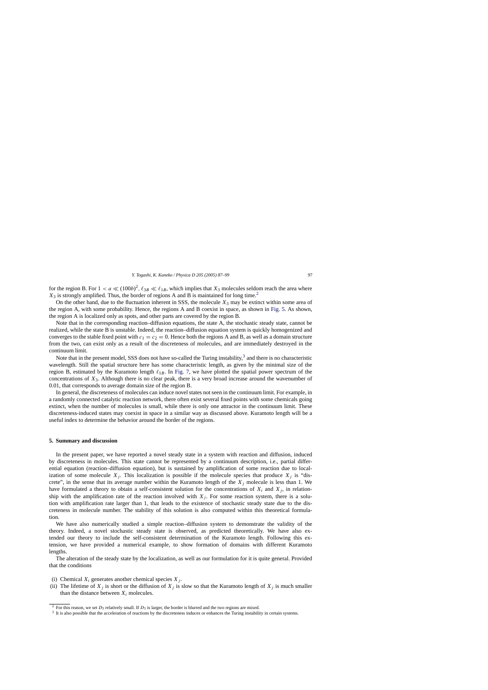<span id="page-10-0"></span>for the region B. For  $1 < a \ll (100b)^2$ ,  $\ell_{3B} \ll \ell_{1B}$ , which implies that  $X_3$  molecules seldom reach the area where  $X_3$  is strongly amplified. Thus, the border of regions A and B is maintained for long time.<sup>2</sup>

On the other hand, due to the fluctuation inherent in SSS, the molecule  $X_3$  may be extinct within some area of the region A, with some probability. Hence, the regions A and B coexist in space, as shown in [Fig. 5.](#page-8-0) As shown, the region A is localized only as spots, and other parts are covered by the region B.

Note that in the corresponding reaction–diffusion equations, the state A, the stochastic steady state, cannot be realized, while the state B is unstable. Indeed, the reaction–diffusion equation system is quickly homogenized and converges to the stable fixed point with  $c_1 = c_2 = 0$ . Hence both the regions A and B, as well as a domain structure from the two, can exist only as a result of the discreteness of molecules, and are immediately destroyed in the continuum limit.

Note that in the present model, SSS does not have so-called the Turing instability, $3$  and there is no characteristic wavelength. Still the spatial structure here has some characteristic length, as given by the minimal size of the region B, estimated by the Kuramoto length  $\ell_{1B}$ . In [Fig. 7,](#page-9-0) we have plotted the spatial power spectrum of the concentrations of  $X_3$ . Although there is no clear peak, there is a very broad increase around the wavenumber of 0.01, that corresponds to average domain size of the region B.

In general, the discreteness of molecules can induce novel states not seen in the continuum limit. For example, in a randomly connected catalytic reaction network, there often exist several fixed points with some chemicals going extinct, when the number of molecules is small, while there is only one attractor in the continuum limit. These discreteness-induced states may coexist in space in a similar way as discussed above. Kuramoto length will be a useful index to determine the behavior around the border of the regions.

### **5. Summary and discussion**

In the present paper, we have reported a novel steady state in a system with reaction and diffusion, induced by discreteness in molecules. This state cannot be represented by a continuum description, i.e., partial differential equation (reaction–diffusion equation), but is sustained by amplification of some reaction due to localization of some molecule  $X_i$ . This localization is possible if the molecule species that produce  $X_i$  is "discrete", in the sense that its average number within the Kuramoto length of the  $X_j$  molecule is less than 1. We have formulated a theory to obtain a self-consistent solution for the concentrations of  $X_i$  and  $X_j$ , in relationship with the amplification rate of the reaction involved with  $X_i$ . For some reaction system, there is a solution with amplification rate larger than 1, that leads to the existence of stochastic steady state due to the discreteness in molecule number. The stability of this solution is also computed within this theoretical formulation.

We have also numerically studied a simple reaction–diffusion system to demonstrate the validity of the theory. Indeed, a novel stochastic steady state is observed, as predicted theoretically. We have also extended our theory to include the self-consistent determination of the Kuramoto length. Following this extension, we have provided a numerical example, to show formation of domains with different Kuramoto lengths.

The alteration of the steady state by the localization, as well as our formulation for it is quite general. Provided that the conditions

- (i) Chemical  $X_i$  generates another chemical species  $X_i$ .
- (ii) The lifetime of  $X_j$  is short or the diffusion of  $X_j$  is slow so that the Kuramoto length of  $X_j$  is much smaller than the distance between  $X_i$  molecules.

<sup>&</sup>lt;sup>2</sup> For this reason, we set  $D_3$  relatively small. If  $D_3$  is larger, the border is blurred and the two regions are mixed.<br><sup>3</sup> It is also possible that the acceleration of reactions by the discreteness induces or enhanc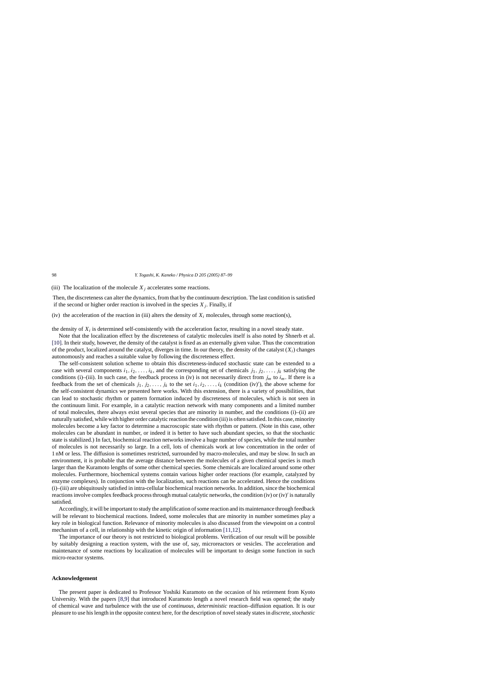#### (iii) The localization of the molecule  $X_i$  accelerates some reactions.

Then, the discreteness can alter the dynamics, from that by the continuum description. The last condition is satisfied if the second or higher order reaction is involved in the species  $X_i$ . Finally, if

(iv) the acceleration of the reaction in (iii) alters the density of  $X_i$  molecules, through some reaction(s),

the density of  $X_i$  is determined self-consistently with the acceleration factor, resulting in a novel steady state.

Note that the localization effect by the discreteness of catalytic molecules itself is also noted by Shnerb et al. [\[10\]. I](#page-12-0)n their study, however, the density of the catalyst is fixed as an externally given value. Thus the concentration of the product, localized around the catalyst, diverges in time. In our theory, the density of the catalyst  $(X_i)$  changes autonomously and reaches a suitable value by following the discreteness effect.

The self-consistent solution scheme to obtain this discreteness-induced stochastic state can be extended to a case with several components  $i_1, i_2, \ldots, i_k$ , and the corresponding set of chemicals  $j_1, j_2, \ldots, j_k$  satisfying the conditions (i)–(iii). In such case, the feedback process in (iv) is not necessarily direct from  $j_m$  to  $i_m$ . If there is a feedback from the set of chemicals  $j_1, j_2, \ldots, j_k$  to the set  $i_1, i_2, \ldots, i_k$  (condition (iv)'), the above scheme for the self-consistent dynamics we presented here works. With this extension, there is a variety of possibilities, that can lead to stochastic rhythm or pattern formation induced by discreteness of molecules, which is not seen in the continuum limit. For example, in a catalytic reaction network with many components and a limited number of total molecules, there always exist several species that are minority in number, and the conditions (i)–(ii) are naturally satisfied, while with higher order catalytic reaction the condition (iii) is often satisfied. In this case, minority molecules become a key factor to determine a macroscopic state with rhythm or pattern. (Note in this case, other molecules can be abundant in number, or indeed it is better to have such abundant species, so that the stochastic state is stabilized.) In fact, biochemical reaction networks involve a huge number of species, while the total number of molecules is not necessarily so large. In a cell, lots of chemicals work at low concentration in the order of 1 nM or less. The diffusion is sometimes restricted, surrounded by macro-molecules, and may be slow. In such an environment, it is probable that the average distance between the molecules of a given chemical species is much larger than the Kuramoto lengths of some other chemical species. Some chemicals are localized around some other molecules. Furthermore, biochemical systems contain various higher order reactions (for example, catalyzed by enzyme complexes). In conjunction with the localization, such reactions can be accelerated. Hence the conditions (i)–(iii) are ubiquitously satisfied in intra-cellular biochemical reaction networks. In addition, since the biochemical reactions involve complex feedback process through mutual catalytic networks, the condition  $(iv)$  or  $(iv)'$  is naturally satisfied.

Accordingly, it will be important to study the amplification of some reaction and its maintenance through feedback will be relevant to biochemical reactions. Indeed, some molecules that are minority in number sometimes play a key role in biological function. Relevance of minority molecules is also discussed from the viewpoint on a control mechanism of a cell, in relationship with the kinetic origin of information [\[11,12\].](#page-12-0)

The importance of our theory is not restricted to biological problems. Verification of our result will be possible by suitably designing a reaction system, with the use of, say, microreactors or vesicles. The acceleration and maintenance of some reactions by localization of molecules will be important to design some function in such micro-reactor systems.

#### **Acknowledgement**

The present paper is dedicated to Professor Yoshiki Kuramoto on the occasion of his retirement from Kyoto University. With the papers [\[8,9\]](#page-12-0) that introduced Kuramoto length a novel research field was opened; the study of chemical wave and turbulence with the use of *continuous, deterministic* reaction–diffusion equation. It is our pleasure to use his length in the opposite context here, for the description of novel steady states in *discrete, stochastic*